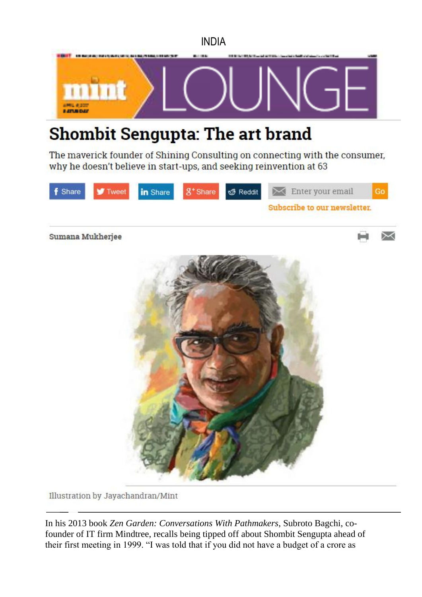INDIA



## **Shombit Sengupta: The art brand**

The maverick founder of Shining Consulting on connecting with the consumer, why he doesn't believe in start-ups, and seeking reinvention at 63



Illustration by Jayachandran/Mint

In his 2013 book *Zen Garden: Conversations With Pathmakers*, Subroto Bagchi, cofounder of IT firm Mindtree, recalls being tipped off about Shombit Sengupta ahead of their first meeting in 1999. "I was told that if you did not have a budget of a crore as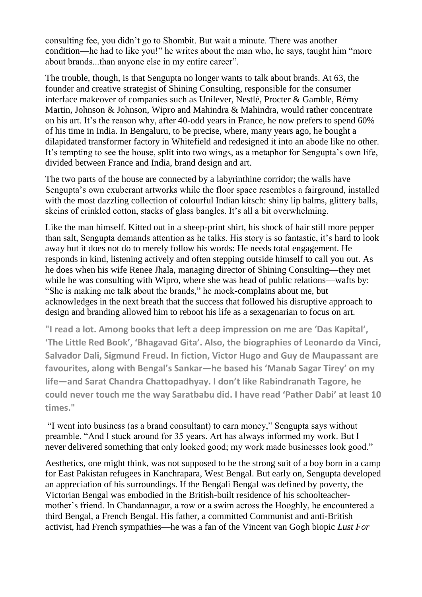consulting fee, you didn't go to Shombit. But wait a minute. There was another condition—he had to like you!" he writes about the man who, he says, taught him "more about brands...than anyone else in my entire career".

The trouble, though, is that Sengupta no longer wants to talk about brands. At 63, the founder and creative strategist of Shining Consulting, responsible for the consumer interface makeover of companies such as Unilever, Nestlé, Procter & Gamble, Rémy Martin, Johnson & Johnson, Wipro and Mahindra & Mahindra, would rather concentrate on his art. It's the reason why, after 40-odd years in France, he now prefers to spend 60% of his time in India. In Bengaluru, to be precise, where, many years ago, he bought a dilapidated transformer factory in Whitefield and redesigned it into an abode like no other. It's tempting to see the house, split into two wings, as a metaphor for Sengupta's own life, divided between France and India, brand design and art.

The two parts of the house are connected by a labyrinthine corridor; the walls have Sengupta's own exuberant artworks while the floor space resembles a fairground, installed with the most dazzling collection of colourful Indian kitsch: shiny lip balms, glittery balls, skeins of crinkled cotton, stacks of glass bangles. It's all a bit overwhelming.

Like the man himself. Kitted out in a sheep-print shirt, his shock of hair still more pepper than salt, Sengupta demands attention as he talks. His story is so fantastic, it's hard to look away but it does not do to merely follow his words: He needs total engagement. He responds in kind, listening actively and often stepping outside himself to call you out. As he does when his wife Renee Jhala, managing director of Shining Consulting—they met while he was consulting with Wipro, where she was head of public relations—wafts by: "She is making me talk about the brands," he mock-complains about me, but acknowledges in the next breath that the success that followed his disruptive approach to design and branding allowed him to reboot his life as a sexagenarian to focus on art.

**"I read a lot. Among books that left a deep impression on me are 'Das Kapital', 'The Little Red Book', 'Bhagavad Gita'. Also, the biographies of Leonardo da Vinci, Salvador Dali, Sigmund Freud. In fiction, Victor Hugo and Guy de Maupassant are favourites, along with Bengal's Sankar—he based his 'Manab Sagar Tirey' on my life—and Sarat Chandra Chattopadhyay. I don't like Rabindranath Tagore, he could never touch me the way Saratbabu did. I have read 'Pather Dabi' at least 10 times."**

"I went into business (as a brand consultant) to earn money," Sengupta says without preamble. "And I stuck around for 35 years. Art has always informed my work. But I never delivered something that only looked good; my work made businesses look good."

Aesthetics, one might think, was not supposed to be the strong suit of a boy born in a camp for East Pakistan refugees in Kanchrapara, West Bengal. But early on, Sengupta developed an appreciation of his surroundings. If the Bengali Bengal was defined by poverty, the Victorian Bengal was embodied in the British-built residence of his schoolteachermother's friend. In Chandannagar, a row or a swim across the Hooghly, he encountered a third Bengal, a French Bengal. His father, a committed Communist and anti-British activist, had French sympathies—he was a fan of the Vincent van Gogh biopic *Lust For*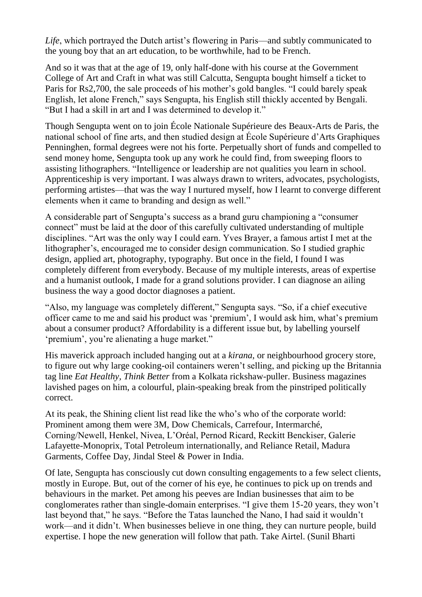*Life*, which portrayed the Dutch artist's flowering in Paris—and subtly communicated to the young boy that an art education, to be worthwhile, had to be French.

And so it was that at the age of 19, only half-done with his course at the Government College of Art and Craft in what was still Calcutta, Sengupta bought himself a ticket to Paris for Rs2,700, the sale proceeds of his mother's gold bangles. "I could barely speak English, let alone French," says Sengupta, his English still thickly accented by Bengali. "But I had a skill in art and I was determined to develop it."

Though Sengupta went on to join École Nationale Supérieure des Beaux-Arts de Paris, the national school of fine arts, and then studied design at École Supérieure d'Arts Graphiques Penninghen, formal degrees were not his forte. Perpetually short of funds and compelled to send money home, Sengupta took up any work he could find, from sweeping floors to assisting lithographers. "Intelligence or leadership are not qualities you learn in school. Apprenticeship is very important. I was always drawn to writers, advocates, psychologists, performing artistes—that was the way I nurtured myself, how I learnt to converge different elements when it came to branding and design as well."

A considerable part of Sengupta's success as a brand guru championing a "consumer connect" must be laid at the door of this carefully cultivated understanding of multiple disciplines. "Art was the only way I could earn. Yves Brayer, a famous artist I met at the lithographer's, encouraged me to consider design communication. So I studied graphic design, applied art, photography, typography. But once in the field, I found I was completely different from everybody. Because of my multiple interests, areas of expertise and a humanist outlook, I made for a grand solutions provider. I can diagnose an ailing business the way a good doctor diagnoses a patient.

"Also, my language was completely different," Sengupta says. "So, if a chief executive officer came to me and said his product was 'premium', I would ask him, what's premium about a consumer product? Affordability is a different issue but, by labelling yourself 'premium', you're alienating a huge market."

His maverick approach included hanging out at a *kirana*, or neighbourhood grocery store, to figure out why large cooking-oil containers weren't selling, and picking up the Britannia tag line *Eat Healthy, Think Better* from a Kolkata rickshaw-puller. Business magazines lavished pages on him, a colourful, plain-speaking break from the pinstriped politically correct.

At its peak, the Shining client list read like the who's who of the corporate world: Prominent among them were 3M, Dow Chemicals, Carrefour, Intermarché, Corning/Newell, Henkel, Nivea, L'Oréal, Pernod Ricard, Reckitt Benckiser, Galerie Lafayette-Monoprix, Total Petroleum internationally, and Reliance Retail, Madura Garments, Coffee Day, Jindal Steel & Power in India.

Of late, Sengupta has consciously cut down consulting engagements to a few select clients, mostly in Europe. But, out of the corner of his eye, he continues to pick up on trends and behaviours in the market. Pet among his peeves are Indian businesses that aim to be conglomerates rather than single-domain enterprises. "I give them 15-20 years, they won't last beyond that," he says. "Before the Tatas launched the Nano, I had said it wouldn't work—and it didn't. When businesses believe in one thing, they can nurture people, build expertise. I hope the new generation will follow that path. Take Airtel. (Sunil Bharti